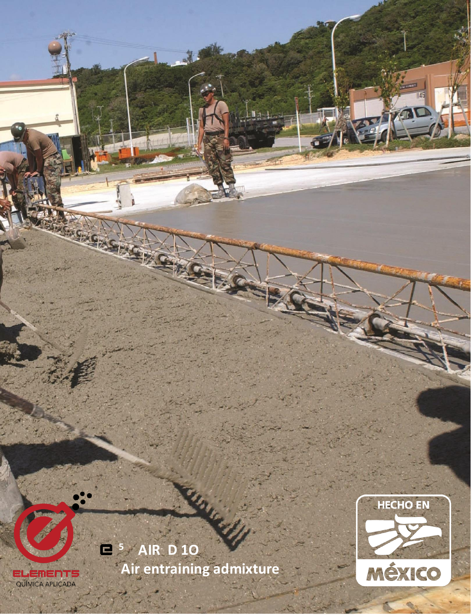

**ELEMENTS**<br>QUÍMICA APLICADA

**KGASHA**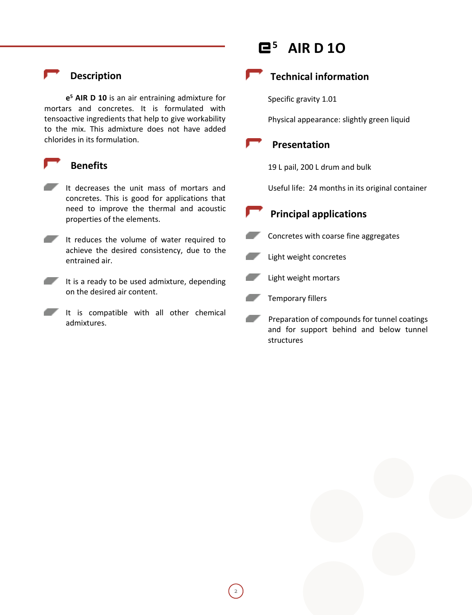# **Description**

**e <sup>5</sup> AIR D 10** is an air entraining admixture for mortars and concretes. It is formulated with tensoactive ingredients that help to give workability to the mix. This admixture does not have added chlorides in its formulation.

#### **Benefits**

- It decreases the unit mass of mortars and concretes. This is good for applications that need to improve the thermal and acoustic properties of the elements.
- It reduces the volume of water required to achieve the desired consistency, due to the entrained air.
- It is a ready to be used admixture, depending on the desired air content.
	- It is compatible with all other chemical admixtures.

# **<sup>5</sup> AIR D 1O**

**Technical information**

Specific gravity 1.01

Physical appearance: slightly green liquid

 **Presentation**

19 L pail, 200 L drum and bulk

Useful life: 24 months in its original container

# **Principal applications**



Light weight concretes



Temporary fillers

2

 Preparation of compounds for tunnel coatings and for support behind and below tunnel structures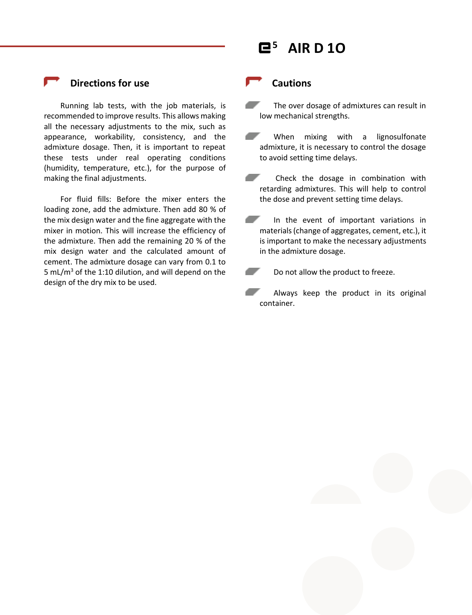

### **Directions for use**

Running lab tests, with the job materials, is recommended to improve results. This allows making all the necessary adjustments to the mix, such as appearance, workability, consistency, and the admixture dosage. Then, it is important to repeat these tests under real operating conditions (humidity, temperature, etc.), for the purpose of making the final adjustments.

For fluid fills: Before the mixer enters the loading zone, add the admixture. Then add 80 % of the mix design water and the fine aggregate with the mixer in motion. This will increase the efficiency of the admixture. Then add the remaining 20 % of the mix design water and the calculated amount of cement. The admixture dosage can vary from 0.1 to 5 mL/m<sup>3</sup> of the 1:10 dilution, and will depend on the design of the dry mix to be used.

#### **Cautions**

- a se The over dosage of admixtures can result in low mechanical strengths.
- المستحق المستحق When mixing with a lignosulfonate admixture, it is necessary to control the dosage to avoid setting time delays.
- 7 Check the dosage in combination with retarding admixtures. This will help to control the dose and prevent setting time delays.
- a shi In the event of important variations in materials (change of aggregates, cement, etc.), it is important to make the necessary adjustments in the admixture dosage.
	- Do not allow the product to freeze.
- Always keep the product in its original container.